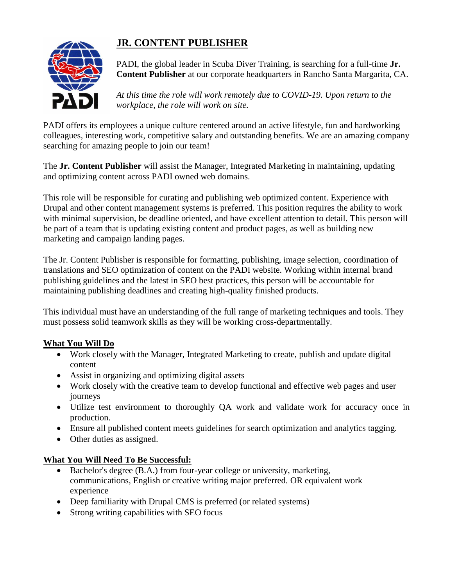## **JR. CONTENT PUBLISHER**



PADI, the global leader in Scuba Diver Training, is searching for a full-time **Jr. Content Publisher** at our corporate headquarters in Rancho Santa Margarita, CA.

*At this time the role will work remotely due to COVID-19. Upon return to the workplace, the role will work on site.*

PADI offers its employees a unique culture centered around an active lifestyle, fun and hardworking colleagues, interesting work, competitive salary and outstanding benefits. We are an amazing company searching for amazing people to join our team!

The **Jr. Content Publisher** will assist the Manager, Integrated Marketing in maintaining, updating and optimizing content across PADI owned web domains.

This role will be responsible for curating and publishing web optimized content. Experience with Drupal and other content management systems is preferred. This position requires the ability to work with minimal supervision, be deadline oriented, and have excellent attention to detail. This person will be part of a team that is updating existing content and product pages, as well as building new marketing and campaign landing pages.

The Jr. Content Publisher is responsible for formatting, publishing, image selection, coordination of translations and SEO optimization of content on the PADI website. Working within internal brand publishing guidelines and the latest in SEO best practices, this person will be accountable for maintaining publishing deadlines and creating high-quality finished products.

This individual must have an understanding of the full range of marketing techniques and tools. They must possess solid teamwork skills as they will be working cross-departmentally.

## **What You Will Do**

- Work closely with the Manager, Integrated Marketing to create, publish and update digital content
- Assist in organizing and optimizing digital assets
- Work closely with the creative team to develop functional and effective web pages and user journeys
- Utilize test environment to thoroughly QA work and validate work for accuracy once in production.
- Ensure all published content meets guidelines for search optimization and analytics tagging.
- Other duties as assigned.

## **What You Will Need To Be Successful:**

- Bachelor's degree (B.A.) from four-year college or university, marketing, communications, English or creative writing major preferred. OR equivalent work experience
- Deep familiarity with Drupal CMS is preferred (or related systems)
- Strong writing capabilities with SEO focus